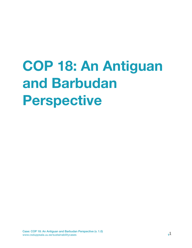# **COP 18: An Antiguan and Barbudan Perspective**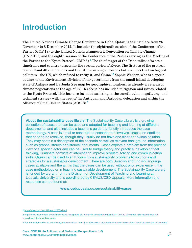### **Introduction**

The United Nations Climate Change Conference in Doha, Qatar, is taking place from 26 November to 8 December 2012. It includes the eighteenth session of the Conference of the Parties (COP 18) to the United Nations Framework Convention on Climate Change (UNFCCC) and the eighth session of the Conference of the Parties serving as the Meeting of the Parties to the Kyoto Protocol (CMP 8).**[1](#page-1-0)** The chief target of the Doha talks is 'to set a timeframe and country targets for the second period of Kyoto. The first leg of the protocol bound about 40 rich nations and the EU to curbing emissions but excludes the two biggest polluters - the US, which refused to ratify it, and China'.**[2](#page-1-1)** Sophie Webber, who is a special advisor to the Environment Division of her government from the small island developing state of Antigua and Barbuda (see map for geographical location), is already a veteran of climate negotiations at the age of 27. Her focus has included mitigation and issues related to the Kyoto Protocol. This has also included assisting in the coordination, negotiating, and technical strategy with the rest of the Antiguan and Barbudan delegation and within the Alliance of Small Island States (AOSIS).**[3](#page-1-2)**

**About the sustainability case library:** The Sustainability Case Library is a growing collection of cases that can be used and adapted for teaching and learning at different departments, and also includes a teacher's guide that briefly introduces the case methodology. A case is a real or constructed scenario that involves issues and conflicts that need to be resolved, though they usually do not have one clear or obvious solution. They may contain a description of the scenario as well as relevant background information such as graphs, stories or historical documents. Cases explore a problem from the point of view of a specific actor and can be used to bridge theory and practice, develop critical thinking, illuminate conflicts of interest and improve problem solving and communication skills. Cases can be used to shift focus from sustainability problems to solutions and strategies for a sustainable development. There are both Swedish and English language cases available and the aim is that the cases can be used without prior experience in the case methodology or in teaching sustainable development. The Sustainability Case Library is funded by a grant from the Division for Development of Teaching and Learning at Uppsala University and is coordinated by CEMUS/CSD Uppsala. More information and resources can be found at:

#### **www.csduppsala.uu.se/sustainabilitycases**

<span id="page-1-0"></span><sup>1</sup> <http://www.iisd.ca/vol12/enb12567e.html>

<span id="page-1-1"></span><sup>2</sup> [http://www.nation.com.pk/pakistan-news-newspaper-daily-english-online/international/04-Dec-2012/climate-talks-deadlocked-as](http://www.nation.com.pk/pakistan-news-newspaper-daily-english-online/international/04-Dec-2012/climate-talks-deadlocked-as-countdown-starts-for-final-week)[countdown-starts-for-final-week](http://www.nation.com.pk/pakistan-news-newspaper-daily-english-online/international/04-Dec-2012/climate-talks-deadlocked-as-countdown-starts-for-final-week)

<span id="page-1-2"></span><sup>3</sup> For more information on what everyone wants from Doha: <http://www.rtcc.org/cop18-live-latest-news-from-day-1-of-doha-climate-summit/>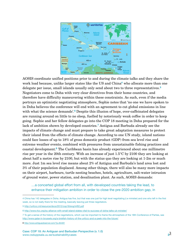

AOSIS coordinate unified positions prior to and during the climate talks and they share the work load because, unlike larger states like the US and China**[4](#page-2-0)** who allocate more than one delegate per issue, small islands usually only send about two to three representatives.**[5](#page-2-1)** Negotiators come to Doha with very clear directives from their home countries, and therefore have difficulty maneuvering within these constraints. As such, even if the media portrays an optimistic negotiating atmosphere, Sophie notes that 'no one we have spoken to in Doha believes the conference will end with an agreement to cut global emissions in line with what the science demands'.**[6](#page-2-2)** Despite this illusion of hope, over-caffeinated delegates are running around on little to no sleep, fuelled by notoriously weak coffee in order to keep going. Sophie and her fellow delegates go into the COP 18 meeting in Doha prepared for the lack of ambition shown by developed countries.**[7](#page-2-3)** Antigua and Barbuda already see the impacts of climate change and must prepare to take great adaptation measures to protect their island from the effects of climate change. According to one UN study, island nations could face losses of up to 18% of gross domestic product (GDP) from sea level rise and extreme weather events, combined with pressures from unsustainable fishing practices and coastal development.**[8](#page-2-4)** The Caribbean basin has already experienced about one millimetre rise per year in the 20th century. With an increase of just 1.5°C by 2100 they are looking at about half a metre rise by 2100, but with the status quo they are looking at 1-2m or much more. Just 1m sea level rise means about 2% of Antigua and Barbuda's land area lost and 3% of their population displaced. Among other things, there will also be many more impacts on their airport, harbours, turtle nesting beaches, hotels, agriculture, salt-water intrusion of ground water, power station, and desalination plant. As such, AOSIS demands:

…a concerted global effort from all, with developed countries taking the lead, to enhance their mitigation ambition in order to close the pre-2020 ambition gap, in

<span id="page-2-0"></span><sup>4</sup> China has 142 delegates in Doha. Antigua has five, but that was one just for high level negotiating (i.e minister) and one who left in the first week, so is not really there for the meeting, basically leaving just three negotiators.

<span id="page-2-1"></span><sup>5</sup> <http://unfccc.int/resource/docs/2012/cop18/eng/inf02.pdf>

<span id="page-2-2"></span><sup>6</sup> <http://www.rtcc.org/eu-alliance-with-small-island-states-vital-to-success-of-doha-talks-uk-minister/>

<span id="page-2-3"></span><sup>7</sup> To get a sense of the history of the negotiations, which can be important to frame the atmosphere of the 18th Conference of Parties, see <http://www.qatar-in-brussels.org/a-briefish-history-of-the-unfccc-and-a-peek-into-the-future/>.

<span id="page-2-4"></span><sup>8</sup> <http://www.antiguaobserver.com/?p=84481>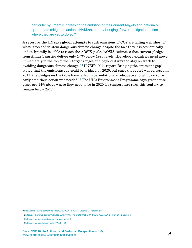particular by urgently increasing the ambition of their current targets and nationally appropriate mitigation actions (NAMAs), and by bringing forward mitigation action where they are yet to do so.**[9](#page-3-0)**

A report by the UN says global attempts to curb emissions of CO2 are falling well short of what is needed to stem dangerous climate change despite the fact that it is economically and technically feasible to reach the AOSIS goals. 'AOSIS estimates that current pledges from Annex 1 parties deliver only 1-7% below 1990 levels…Developed countries must move immediately to the top of their target ranges and beyond if we're to stay on track to avoiding dangerous climate change.'**[10](#page-3-1)** UNEP's 2011 report 'Bridging the emissions gap' stated that the emissions gap could be bridged by 2020, but since the report was released in 2011, the pledges on the table have failed to be ambitious or adequate enough to do so, as early ambitious action was needed.**[11](#page-3-2)** The UN's Environment Programme says greenhouse gases are 14% above where they need to be in 2020 for temperature rises this century to remain below 2oC.**[12](#page-3-3)**

<span id="page-3-0"></span><sup>9</sup> <http://aosis.org/wp-content/uploads/2012/10/2012-AOSIS-Leaders-Declaration.pdf>

<span id="page-3-1"></span><sup>10</sup> <http://aosis.org/wp-content/uploads/2012/10/Closing-Statemnet-at-UNFCCC-AWG-LCA-24-May-2012-Bonn.pdf>

<span id="page-3-2"></span><sup>11</sup> [http://www.unep.org/pdf/unep\\_bridging\\_gap.pdf](http://www.unep.org/pdf/unep_bridging_gap.pdf)

<span id="page-3-3"></span><sup>12</sup> <http://www.antiguaobserver.com/?p=84191>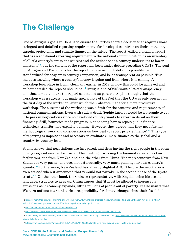## **The Challenge**

One of Antigua's goals in Doha is to ensure the Parties adopt a decision that requires more stringent and detailed reporting requirements for developed countries on their emissions, targets, projections, and climate finance in the future. The report, called a biennial report that is an additional reporting requirement to the national communication, is an inventory of all of a country's emissions sources and the actions that a country undertakes to lower emissions**[13](#page-4-0)**, but the content of the report has been under debate preceding COP18. The goal for Antigua and Barbuda is for the report to have as much detail as possible, be standardized for easy cross-country comparison, and be as transparent as possible. This includes knowing where a country's money is going and from where it is coming. A workshop took place in Bonn, Germany earlier in 2012 on how this could be achieved and on how detailed the reports should be.**[14](#page-4-1)** Antigua and AOSIS want a lot of transparency, and thus aimed to make the report as detailed as possible. Sophie thought that the workshop was a success, but made special note of the fact that the US was only present on the first day of the workshop, after which their absence made for a more productive workshop. The outcome of the workshop was a draft for the contents and requirements of national communications. Even with such a draft, Sophie knew it would be a struggle to get it to pass in negotiations since no developed country wants to report in detail on their financing. Still, 'countries made progress in enhancing how to report public finance, technology transfer, and capacity building. However, they agreed that they need further methodological work and considerations on how best to report private finance'.**[15](#page-4-2)** This type of reporting is important and necessary to evaluate climate finance at the global and a country-by-country level.

Sophie knows that negotiations are fast paced, and thus having the right people in the room during negotiations can be crucial. The meeting discussing the biennial reports has two facilitators, one from New Zealand and the other from China. The representative from New Zealand is very pushy, and does not act neutrally, very much pushing her own country's agenda.**[16](#page-4-3)**Furthermore, New Zealand has already slighted AOSIS before the negotiations even started when it announced that it would not partake in the second phase of the Kyoto treaty.**[17](#page-4-4)** On the other hand, the Chinese representative, with English being his second language, struggles to keep up. China argues that 'it must be allowed to increase its emissions as it economy expands, lifting millions of people out of poverty. It also insists that Western nations bear a historical responsibility for climate change, since their fossil fuel

<span id="page-4-0"></span><sup>13</sup> It is a lot more than this, too: [http://insights.wri.org/news/2012/11/making-progress-measurement-reporting-and-verification-mrv-cop-18;](http://insights.wri.org/news/2012/11/making-progress-measurement-reporting-and-verification-mrv-cop-18) [http://](http://unfccc.int/files/meetings/doha_nov_2012/decisions/application/pdf/cop18_crf.pdf) [unfccc.int/files/meetings/doha\\_nov\\_2012/decisions/application/pdf/cop18\\_crf.pdf](http://unfccc.int/files/meetings/doha_nov_2012/decisions/application/pdf/cop18_crf.pdf)

<span id="page-4-1"></span><sup>14</sup> <http://unfccc.int/resource/docs/2012/sbsta/eng/l11.pdf>

<span id="page-4-2"></span><sup>15</sup> [http://www.rtcc.org/measuring-and-reporting-success-of-cop18-talks-in-doha/#sthash.DZbn6Tlx.dpuf](http://www.rtcc.org/measuring-and-reporting-success-of-cop18-talks-in-doha/)

<span id="page-4-3"></span><sup>16</sup> Sophie thought it was interesting to note that NZ had won the fossil of the day award from CAN: [http://www.guardian.co.uk/global/2012/dec/07/doha](http://www.guardian.co.uk/global/2012/dec/07/doha-climate-talks-final-day-live)[climate-talks-final-day-live](http://www.guardian.co.uk/global/2012/dec/07/doha-climate-talks-final-day-live) 

<span id="page-4-4"></span><sup>17</sup> <http://www.timesherald.com/article/20121202/NEWS05/121209950/climate-talks-new-zealand-forget-kyoto-write-new-deal>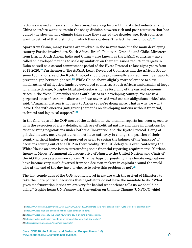factories spewed emissions into the atmosphere long before China started industrializing. China therefore wants to retain the sharp division between rich and poor countries that has guided the slow-moving climate talks since they started two decades ago. Rich countries want to get rid of that distinction, which they say doesn't reflect the world today'.**[18](#page-5-0)**

Apart from China, many Parties are involved in the negotiations but the main developing country Parties involved are South Africa, Brazil, Pakistan, Grenada and Chile. Ministers from Brazil, South Africa, India and China – also known as the BASIC countries – have called on developed nations to scale up ambition on their emissions reduction targets in Doha as well as a second commitment period of the Kyoto Protocol to last eight years from 2013-2020.**[19](#page-5-1)** Furthermore, 'the AOSIS, Least Developed Countries and the African Group, some 100 nations, said the Kyoto Protocol should be provisionally applied from 1 January to prevent a gap between phases'.**[20](#page-5-2)** While China shows slightly more tolerance to slow mobilization of mitigation funds by developed countries, 'South Africa's ambassador at large for climate change, Nozipho Mxakato-Diseko is not as forgiving of the current economic crises in the West. "Remember that South Africa is a developing country. We are in a perpetual state of economic distress and we never said we'd set our obligations aside," she said. "Financial distress is not new to Africa yet we're doing more. That is why we won't leave Doha with onerous [mitigation] demands on developing nations without financial, technical and logistical support"'.**[21](#page-5-3)**

In the final days of the COP most of the decision on the biennial reports has been agreed to with the exception of a few details, which are of political nature and have implications for other ongoing negotiations under both the Convention and the Kyoto Protocol. Being of political nature, most negotiators do not have authority to change the position of their country without higher-level approval or prior to seeing the balance of the 'package' of decisions coming out of the COP in their totality. The US delegate is even contacting the White House on some issues surrounding their financial reporting requirements. Marlene Inemwin Moses, Permanent Representative of Nauru to the United Nations and Chair of the AOSIS, voices a common concern 'that perhaps purposefully, the climate negotiations have become very much divorced from the decision-makers in capitals around the world who at the end of the day have to choose to solve this problem or not'.**[22](#page-5-4)**

The last couple days of the COP are high level in nature with the arrival of Ministers to take the more political decisions that negotiators do not have the mandate to do. '"What gives me frustration is that we are very far behind what science tells us we should be doing,"' Sophie hears UN Framework Convention on Climate Change (UNFCCC) chief

<span id="page-5-0"></span><sup>18</sup> [http://www.timesherald.com/article/20121202/NEWS05/121209950/climate-talks-new-zealand-forget-kyoto-write-new-deal#full\\_story](http://www.timesherald.com/article/20121202/NEWS05/121209950/climate-talks-new-zealand-forget-kyoto-write-new-deal)

<span id="page-5-1"></span><sup>19</sup> <http://www.rtcc.org/basic-countries-call-for-raised-ambition-in-doha/>

<span id="page-5-2"></span><sup>20</sup> <http://www.rtcc.org/cop18-live-latest-news-from-day-1-of-doha-climate-summit/>

<span id="page-5-3"></span><sup>21</sup> <http://www.rtcc.org/tension-mounts-as-un-climate-talks-enter-final-day-in-doha/>

<span id="page-5-4"></span><sup>22</sup> <http://asiapacific.anu.edu.au/blogs/pacificinstitute/>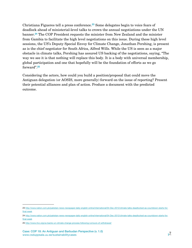Christiana Figueres tell a press conference.**[23](#page-6-0)** Some delegates begin to voice fears of deadlock ahead of ministerial-level talks to crown the annual negotiations under the UN banner.**[24](#page-6-1)** The COP President requests the minister from New Zealand and the minister from Gambia to facilitate the high level negotiations on this issue. During these high level sessions, the US's Deputy Special Envoy for Climate Change, Jonathan Pershing, is present as is the chief negotiator for South Africa, Alfred Wills. While the US is seen as a major obstacle in climate talks, Pershing has assured US backing of the negotiations, saying, "The way we see it is that nothing will replace this body. It is a body with universal membership, global participation and one that hopefully will be the foundation of efforts as we go forward".**[25](#page-6-2)**

Considering the actors, how could you build a position/proposal that could move the Antiguan delegation (or AOSIS, more generally) forward on the issue of reporting? Present their potential alliances and plan of action. Produce a document with the predicted outcome.

<span id="page-6-0"></span><sup>23</sup> [http://www.nation.com.pk/pakistan-news-newspaper-daily-english-online/international/04-Dec-2012/climate-talks-deadlocked-as-countdown-starts-for](http://www.nation.com.pk/pakistan-news-newspaper-daily-english-online/international/04-Dec-2012/climate-talks-deadlocked-as-countdown-starts-for-final-week)[final-week](http://www.nation.com.pk/pakistan-news-newspaper-daily-english-online/international/04-Dec-2012/climate-talks-deadlocked-as-countdown-starts-for-final-week)

<span id="page-6-1"></span><sup>24</sup> [http://www.nation.com.pk/pakistan-news-newspaper-daily-english-online/international/04-Dec-2012/climate-talks-deadlocked-as-countdown-starts-for](http://www.nation.com.pk/pakistan-news-newspaper-daily-english-online/international/04-Dec-2012/climate-talks-deadlocked-as-countdown-starts-for-final-week)[final-week](http://www.nation.com.pk/pakistan-news-newspaper-daily-english-online/international/04-Dec-2012/climate-talks-deadlocked-as-countdown-starts-for-final-week)

<span id="page-6-2"></span><sup>25</sup> <http://www.rtcc.org/us-backs-un-climate-change-process-following-rumours-of-withdrawal/>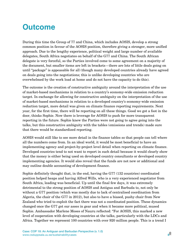## **Outcome**

During this time the Group of 77 and China, which includes AOSIS, develop a strong common position in favour of the AOSIS position, therefore giving a stronger, more unified approach. Due to the lengthy experience, political weight and large number of available delegates, South Africa negotiates on behalf of the G77 and China. The South African delegate is very forceful, so the Parties involved come to some agreement on a majority of the document, but smaller items are left in brackets—there are lots of little deals going on until "package" is appeasable for all (though many developed countries already have agreed on deals going into the negotiations; this is unlike developing countries who are overwhelmed by the work load at home and do not have the capacity to do this).

The outcome is the creation of constructive ambiguity around the interpretation of the use of market-based mechanisms in relation to a country's economy-wide emission reduction target. In exchange for allowing for constructive ambiguity on the interpretation of the use of market-based mechanisms in relation to a developed country's economy-wide emission reduction target, more detail was given on climate finance reporting requirements. Next year, for the first time, there will be reporting on all these things. Good we got a foot in the door, thinks Sophie. Now there is leverage for AOSIS to push for more transparent reporting in the future. Sophie knew the Parties were not going to agree going into the talks, but this constructive ambiguity with the tables (emissions and trends) made sure that there would be standardized reporting.

AOSIS would still like to see more detail in the finance tables so that people can tell where all the numbers come from. In an ideal world, it would be most beneficial to have an implementing agency and project-by-project level detail when reporting on climate finance. Developed countries tend to not want to report in such detail because it would clearly show that the money is either being used on developed country consultants or developed country implementing agencies. It would also reveal that the funds are not new or additional and may outline double accounting of development finance.

Sophie definitely thought that, in the end, having the G77 (132 countries) coordinated position helped heaps and having Alfred Wills, who is a very experienced negotiator from South Africa, leading was beneficial. Up until the final few days, it was extremely detrimental to the strong position of AOSIS and Antigua and Barbuda to, not only be without a G77 position (which was mostly due to lack of centralised coordination from Algeria, the chair of the G77 in 2012), but also to have a biased, pushy chair from New Zealand who tried to exploit the fact there was not a coordinated position. These dynamics changed once the G77 got our asses in gear and when it became more political, mused Sophie. Ambassador Marlene Moses of Nauru reflected: "For AOSIS, this marked a new level of cooperation with developing countries at the talks, particularly with the LDCs and Africa. Together we represent 100 countries with over 920 million people. This is a trend I